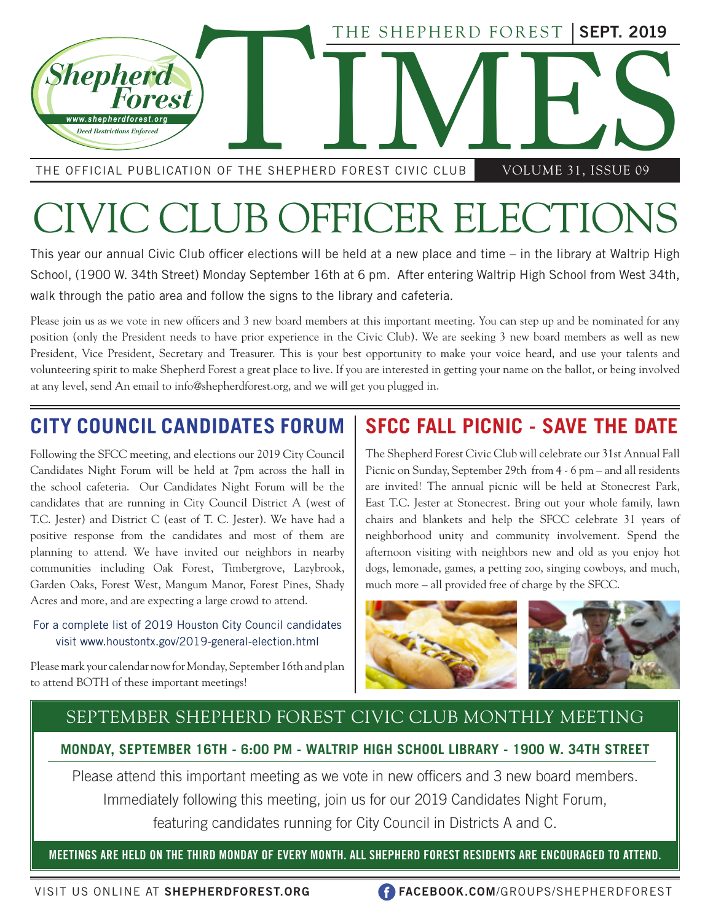

THE OFFICIAL PUBLICATION OF THE SHEPHERD FOREST CIVIC CLUB VOLUME 31, ISSUE 09

# CIVIC CLUB OFFICER ELECTION

This year our annual Civic Club officer elections will be held at a new place and time – in the library at Waltrip High School, (1900 W. 34th Street) Monday September 16th at 6 pm. After entering Waltrip High School from West 34th, walk through the patio area and follow the signs to the library and cafeteria.

Please join us as we vote in new officers and 3 new board members at this important meeting. You can step up and be nominated for any position (only the President needs to have prior experience in the Civic Club). We are seeking 3 new board members as well as new President, Vice President, Secretary and Treasurer. This is your best opportunity to make your voice heard, and use your talents and volunteering spirit to make Shepherd Forest a great place to live. If you are interested in getting your name on the ballot, or being involved at any level, send An email to info@shepherdforest.org, and we will get you plugged in.

# **CITY COUNCIL CANDIDATES FORUM**

Following the SFCC meeting, and elections our 2019 City Council Candidates Night Forum will be held at 7pm across the hall in the school cafeteria. Our Candidates Night Forum will be the candidates that are running in City Council District A (west of T.C. Jester) and District C (east of T. C. Jester). We have had a positive response from the candidates and most of them are planning to attend. We have invited our neighbors in nearby communities including Oak Forest, Timbergrove, Lazybrook, Garden Oaks, Forest West, Mangum Manor, Forest Pines, Shady Acres and more, and are expecting a large crowd to attend.

#### For a complete list of 2019 Houston City Council candidates visit www.houstontx.gov/2019-general-election.html

Please mark your calendar now for Monday, September 16th and plan to attend BOTH of these important meetings!

# **SFCC FALL PICNIC - SAVE THE DATE**

The Shepherd Forest Civic Club will celebrate our 31st Annual Fall Picnic on Sunday, September 29th from 4 - 6 pm – and all residents are invited! The annual picnic will be held at Stonecrest Park, East T.C. Jester at Stonecrest. Bring out your whole family, lawn chairs and blankets and help the SFCC celebrate 31 years of neighborhood unity and community involvement. Spend the afternoon visiting with neighbors new and old as you enjoy hot dogs, lemonade, games, a petting zoo, singing cowboys, and much, much more – all provided free of charge by the SFCC.





## SEPTEMBER SHEPHERD FOREST CIVIC CLUB MONTHLY MEETING

**MONDAY, SEPTEMBER 16TH - 6:00 PM - WALTRIP HIGH SCHOOL LIBRARY - 1900 W. 34TH STREET**

Please attend this important meeting as we vote in new officers and 3 new board members. Immediately following this meeting, join us for our 2019 Candidates Night Forum, featuring candidates running for City Council in Districts A and C.

**MEETINGS ARE HELD ON THE THIRD MONDAY OF EVERY MONTH. ALL SHEPHERD FOREST RESIDENTS ARE ENCOURAGED TO ATTEND.**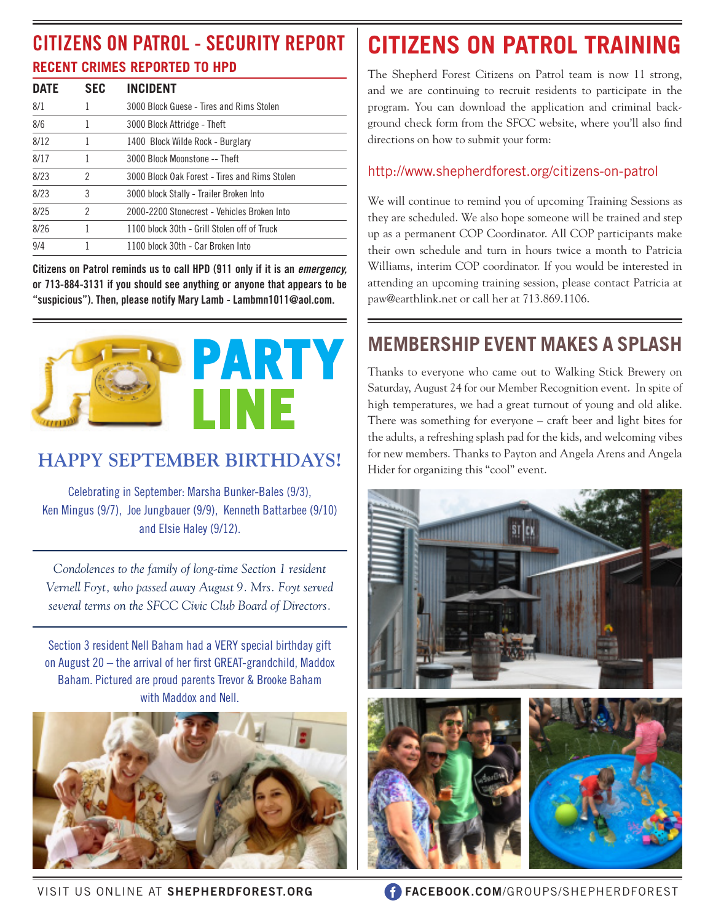# **RECENT CRIMES REPORTED TO HPD CITIZENS ON PATROL - SECURITY REPORT**

| <b>DATE</b> | <b>SEC</b> | <b>INCIDENT</b>                               |
|-------------|------------|-----------------------------------------------|
| 8/1         |            | 3000 Block Guese - Tires and Rims Stolen      |
| 8/6         |            | 3000 Block Attridge - Theft                   |
| 8/12        |            | 1400 Block Wilde Rock - Burglary              |
| 8/17        |            | 3000 Block Moonstone -- Theft                 |
| 8/23        | 2          | 3000 Block Oak Forest - Tires and Rims Stolen |
| 8/23        | 3          | 3000 block Stally - Trailer Broken Into       |
| 8/25        | 2          | 2000-2200 Stonecrest - Vehicles Broken Into   |
| 8/26        |            | 1100 block 30th - Grill Stolen off of Truck   |
| 9/4         |            | 1100 block 30th - Car Broken Into             |

**Citizens on Patrol reminds us to call HPD (911 only if it is an** *emergency,*  **or 713-884-3131 if you should see anything or anyone that appears to be "suspicious"). Then, please notify Mary Lamb - Lambmn1011@aol.com.**



# **HAPPY SEPTEMBER BIRTHDAYS!**

Celebrating in September: Marsha Bunker-Bales (9/3), Ken Mingus (9/7), Joe Jungbauer (9/9), Kenneth Battarbee (9/10) and Elsie Haley (9/12).

*Condolences to the family of long-time Section 1 resident Vernell Foyt, who passed away August 9. Mrs. Foyt served several terms on the SFCC Civic Club Board of Directors.*

Section 3 resident Nell Baham had a VERY special birthday gift on August 20 – the arrival of her first GREAT-grandchild, Maddox Baham. Pictured are proud parents Trevor & Brooke Baham with Maddox and Nell.



# **CITIZENS ON PATROL TRAINING**

The Shepherd Forest Citizens on Patrol team is now 11 strong, and we are continuing to recruit residents to participate in the program. You can download the application and criminal background check form from the SFCC website, where you'll also find directions on how to submit your form:

#### http://www.shepherdforest.org/citizens-on-patrol

We will continue to remind you of upcoming Training Sessions as they are scheduled. We also hope someone will be trained and step up as a permanent COP Coordinator. All COP participants make their own schedule and turn in hours twice a month to Patricia Williams, interim COP coordinator. If you would be interested in attending an upcoming training session, please contact Patricia at paw@earthlink.net or call her at 713.869.1106.

# **MEMBERSHIP EVENT MAKES A SPLASH**

Thanks to everyone who came out to Walking Stick Brewery on Saturday, August 24 for our Member Recognition event. In spite of high temperatures, we had a great turnout of young and old alike. There was something for everyone – craft beer and light bites for the adults, a refreshing splash pad for the kids, and welcoming vibes for new members. Thanks to Payton and Angela Arens and Angela Hider for organizing this "cool" event.



VISIT US ONLINE AT **SHEPHERDFOREST.ORG FACEBOOK.COM**/GROUPS/SHEPHERDFOREST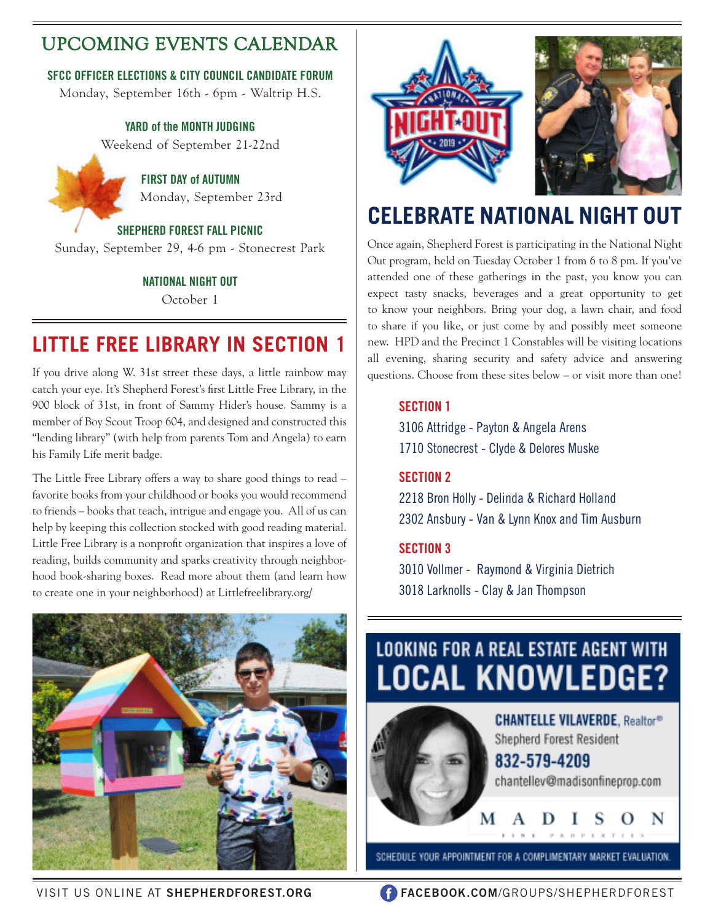# UPCOMING EVENTS CALENDAR

#### **SFCC OFFICER ELECTIONS & CITY COUNCIL CANDIDATE FORUM**

Monday, September 16th - 6pm - Waltrip H.S.

#### **YARD of the MONTH JUDGING**

Weekend of September 21-22nd

 **FIRST DAY of AUTUMN** Monday, September 23rd

## **SHEPHERD FOREST FALL PICNIC**

Sunday, September 29, 4-6 pm - Stonecrest Park

#### **NATIONAL NIGHT OUT**

October 1

# **LITTLE FREE LIBRARY IN SECTION 1**

If you drive along W. 31st street these days, a little rainbow may catch your eye. It's Shepherd Forest's first Little Free Library, in the 900 block of 31st, in front of Sammy Hider's house. Sammy is a member of Boy Scout Troop 604, and designed and constructed this "lending library" (with help from parents Tom and Angela) to earn his Family Life merit badge.

The Little Free Library offers a way to share good things to read – favorite books from your childhood or books you would recommend to friends – books that teach, intrigue and engage you. All of us can help by keeping this collection stocked with good reading material. Little Free Library is a nonprofit organization that inspires a love of reading, builds community and sparks creativity through neighborhood book-sharing boxes. Read more about them (and learn how to create one in your neighborhood) at Littlefreelibrary.org/





# **CELEBRATE NATIONAL NIGHT OUT**

Once again, Shepherd Forest is participating in the National Night Out program, held on Tuesday October 1 from 6 to 8 pm. If you've attended one of these gatherings in the past, you know you can expect tasty snacks, beverages and a great opportunity to get to know your neighbors. Bring your dog, a lawn chair, and food to share if you like, or just come by and possibly meet someone new. HPD and the Precinct 1 Constables will be visiting locations all evening, sharing security and safety advice and answering questions. Choose from these sites below – or visit more than one!

#### **SECTION 1**

3106 Attridge - Payton & Angela Arens 1710 Stonecrest - Clyde & Delores Muske

#### **SECTION 2**

2218 Bron Holly - Delinda & Richard Holland 2302 Ansbury - Van & Lynn Knox and Tim Ausburn

#### **SECTION 3**

3010 Vollmer - Raymond & Virginia Dietrich 3018 Larknolls - Clay & Jan Thompson

# **LOOKING FOR A REAL ESTATE AGENT WITH LOCAL KNOWLEDGE?**



**CHANTELLE VILAVERDE, Realtor®** Shepherd Forest Resident 832-579-4209

chantellev@madisonfineprop.com

PROPERTEE

SCHEDULE YOUR APPOINTMENT FOR A COMPLIMENTARY MARKET EVALUATION.

VISIT US ONLINE AT **SHEPHERDFOREST.ORG FACEBOOK.COM**/GROUPS/SHEPHERDFOREST